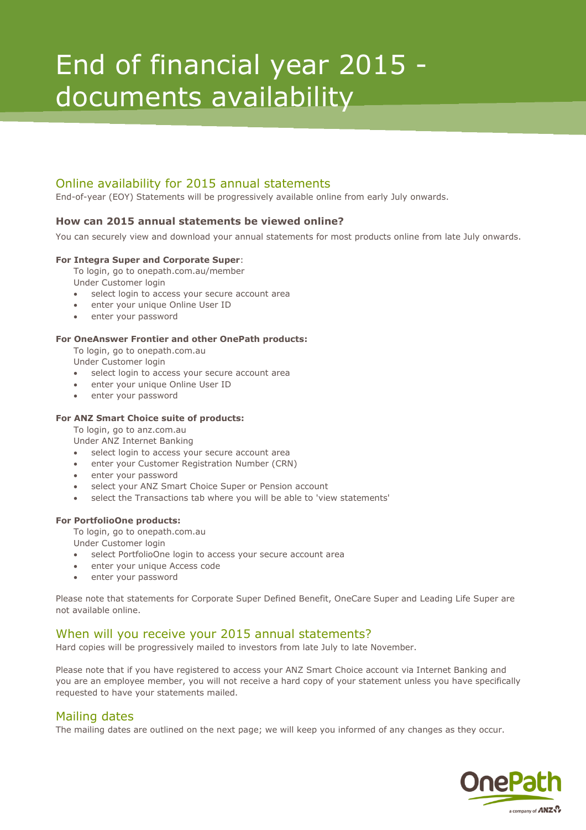# End of financial year 2015 documents availability

# Online availability for 2015 annual statements

End-of-year (EOY) Statements will be progressively available online from early July onwards.

### **How can 2015 annual statements be viewed online?**

You can securely view and download your annual statements for most products online from late July onwards.

#### **For Integra Super and Corporate Super**:

To login, go to onepath.com.au/member

Under Customer login

- select login to access your secure account area
- enter your unique Online User ID
- enter your password

#### **For OneAnswer Frontier and other OnePath products:**

To login, go to onepath.com.au

Under Customer login

- select login to access your secure account area
- enter your unique Online User ID
- enter your password

#### **For ANZ Smart Choice suite of products:**

To login, go to anz.com.au

Under ANZ Internet Banking

- select login to access your secure account area
- enter your Customer Registration Number (CRN)
- enter your password
- select your ANZ Smart Choice Super or Pension account
- select the Transactions tab where you will be able to 'view statements'

#### **For PortfolioOne products:**

To login, go to onepath.com.au

- Under Customer login
- select PortfolioOne login to access your secure account area
- enter your unique Access code
- enter your password

Please note that statements for Corporate Super Defined Benefit, OneCare Super and Leading Life Super are not available online.

## When will you receive your 2015 annual statements?

Hard copies will be progressively mailed to investors from late July to late November.

Please note that if you have registered to access your ANZ Smart Choice account via Internet Banking and you are an employee member, you will not receive a hard copy of your statement unless you have specifically requested to have your statements mailed.

## Mailing dates

The mailing dates are outlined on the next page; we will keep you informed of any changes as they occur.

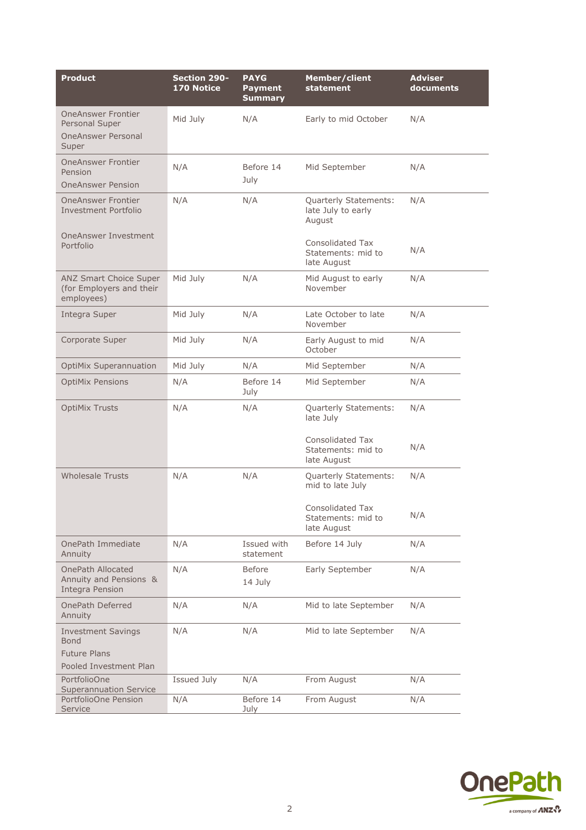| <b>Product</b>                                                               | <b>Section 290-</b><br>170 Notice | <b>PAYG</b><br><b>Payment</b><br><b>Summary</b> | Member/client<br>statement                                   | <b>Adviser</b><br>documents |
|------------------------------------------------------------------------------|-----------------------------------|-------------------------------------------------|--------------------------------------------------------------|-----------------------------|
| <b>OneAnswer Frontier</b><br>Personal Super                                  | Mid July                          | N/A                                             | Early to mid October                                         | N/A                         |
| <b>OneAnswer Personal</b><br>Super                                           |                                   |                                                 |                                                              |                             |
| <b>OneAnswer Frontier</b><br>Pension                                         | N/A                               | Before 14<br>July                               | Mid September                                                | N/A                         |
| <b>OneAnswer Pension</b>                                                     |                                   |                                                 |                                                              |                             |
| <b>OneAnswer Frontier</b><br><b>Investment Portfolio</b>                     | N/A                               | N/A                                             | Quarterly Statements:<br>late July to early<br>August        | N/A                         |
| <b>OneAnswer Investment</b><br>Portfolio                                     |                                   |                                                 | <b>Consolidated Tax</b><br>Statements: mid to<br>late August | N/A                         |
| ANZ Smart Choice Super<br>(for Employers and their<br>employees)             | Mid July                          | N/A                                             | Mid August to early<br>November                              | N/A                         |
| Integra Super                                                                | Mid July                          | N/A                                             | Late October to late<br>November                             | N/A                         |
| Corporate Super                                                              | Mid July                          | N/A                                             | Early August to mid<br>October                               | N/A                         |
| <b>OptiMix Superannuation</b>                                                | Mid July                          | N/A                                             | Mid September                                                | N/A                         |
| <b>OptiMix Pensions</b>                                                      | N/A                               | Before 14<br>July                               | Mid September                                                | N/A                         |
| <b>OptiMix Trusts</b>                                                        | N/A                               | N/A                                             | Quarterly Statements:<br>late July                           | N/A                         |
|                                                                              |                                   |                                                 | <b>Consolidated Tax</b><br>Statements: mid to<br>late August | N/A                         |
| <b>Wholesale Trusts</b>                                                      | N/A                               | N/A                                             | Quarterly Statements:<br>mid to late July                    | N/A                         |
|                                                                              |                                   |                                                 | Consolidated Tax<br>Statements: mid to<br>late August        | N/A                         |
| OnePath Immediate<br>Annuity                                                 | N/A                               | Issued with<br>statement                        | Before 14 July                                               | N/A                         |
| <b>OnePath Allocated</b><br>Annuity and Pensions &<br><b>Integra Pension</b> | N/A                               | <b>Before</b><br>14 July                        | Early September                                              | N/A                         |
| OnePath Deferred<br>Annuity                                                  | N/A                               | N/A                                             | Mid to late September                                        | N/A                         |
| <b>Investment Savings</b><br><b>Bond</b>                                     | N/A                               | N/A                                             | Mid to late September                                        | N/A                         |
| <b>Future Plans</b><br>Pooled Investment Plan                                |                                   |                                                 |                                                              |                             |
| PortfolioOne<br><b>Superannuation Service</b>                                | Issued July                       | N/A                                             | From August                                                  | N/A                         |
| PortfolioOne Pension<br>Service                                              | N/A                               | Before 14<br>July                               | From August                                                  | N/A                         |